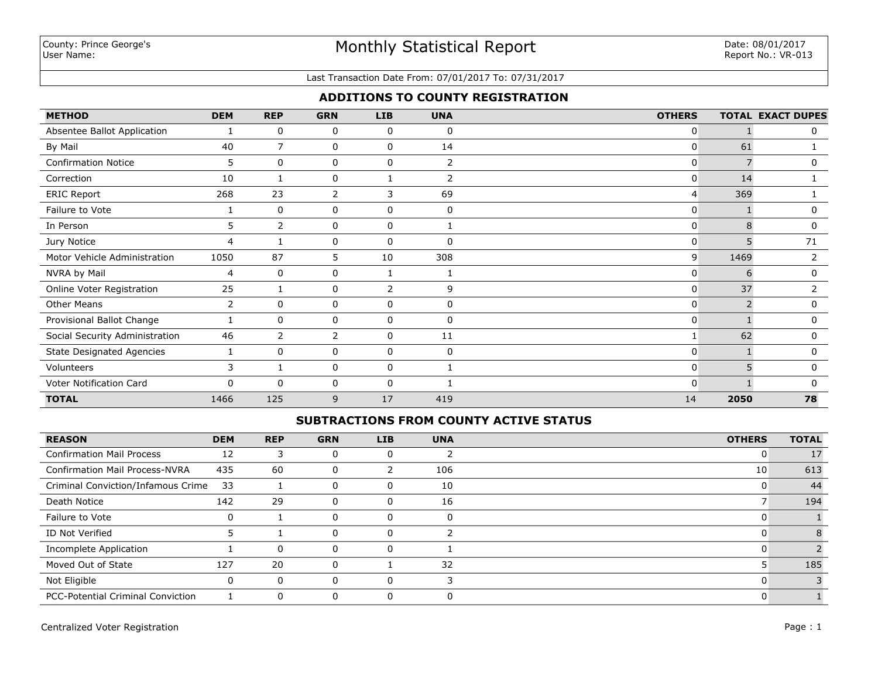#### Last Transaction Date From: 07/01/2017 To: 07/31/2017

## **ADDITIONS TO COUNTY REGISTRATION**

| <b>METHOD</b>                    | <b>DEM</b> | <b>REP</b>     | <b>GRN</b>     | <b>LIB</b> | <b>UNA</b>     | <b>OTHERS</b>  |      | <b>TOTAL EXACT DUPES</b> |
|----------------------------------|------------|----------------|----------------|------------|----------------|----------------|------|--------------------------|
| Absentee Ballot Application      |            | 0              | 0              | 0          | 0              | 0              |      | 0                        |
| By Mail                          | 40         | $\overline{7}$ | 0              | 0          | 14             | 0              | 61   |                          |
| <b>Confirmation Notice</b>       | 5          | $\mathbf{0}$   | 0              | 0          | $\overline{2}$ | 0              |      | 0                        |
| Correction                       | 10         |                | 0              |            | 2              | $\mathbf{0}$   | 14   |                          |
| <b>ERIC Report</b>               | 268        | 23             | 2              | 3          | 69             | $\overline{4}$ | 369  |                          |
| Failure to Vote                  |            | 0              | 0              | 0          | 0              | 0              |      | 0                        |
| In Person                        | 5          | $\mathbf{2}$   | 0              | 0          |                | $\mathbf{0}$   | 8    | 0                        |
| Jury Notice                      | 4          |                | 0              | 0          | $\Omega$       | $\mathbf{0}$   | 5    | 71                       |
| Motor Vehicle Administration     | 1050       | 87             | 5              | 10         | 308            | 9              | 1469 | 2                        |
| NVRA by Mail                     | 4          | 0              | 0              |            |                | $\mathbf{0}$   | 6    | 0                        |
| Online Voter Registration        | 25         |                | 0              | 2          | 9              | $\overline{0}$ | 37   | 2                        |
| <b>Other Means</b>               | 2          | $\mathbf{0}$   | 0              | 0          | 0              | $\overline{0}$ |      | 0                        |
| Provisional Ballot Change        |            | $\mathbf{0}$   | 0              | 0          | $\mathbf{0}$   | $\mathbf{0}$   |      | 0                        |
| Social Security Administration   | 46         | $\overline{2}$ | $\overline{2}$ | 0          | 11             |                | 62   | 0                        |
| <b>State Designated Agencies</b> |            | $\mathbf{0}$   | 0              | 0          | $\Omega$       | $\mathbf{0}$   |      | 0                        |
| Volunteers                       | 3          |                | 0              | 0          |                | $\mathbf{0}$   | 5    | $\mathbf{0}$             |
| Voter Notification Card          | $\Omega$   | $\Omega$       | 0              | 0          |                | $\Omega$       |      | 0                        |
| <b>TOTAL</b>                     | 1466       | 125            | 9              | 17         | 419            | 14             | 2050 | 78                       |

### **SUBTRACTIONS FROM COUNTY ACTIVE STATUS**

| <b>REASON</b>                            | <b>DEM</b> | <b>REP</b> | <b>GRN</b> | <b>LIB</b> | <b>UNA</b> | <b>OTHERS</b> | <b>TOTAL</b> |
|------------------------------------------|------------|------------|------------|------------|------------|---------------|--------------|
| <b>Confirmation Mail Process</b>         | 12         | 3          |            |            |            |               | 17           |
| <b>Confirmation Mail Process-NVRA</b>    | 435        | 60         |            |            | 106        | 10            | 613          |
| Criminal Conviction/Infamous Crime       | 33         |            | 0          |            | 10         |               | 44           |
| Death Notice                             | 142        | 29         |            |            | 16         |               | 194          |
| Failure to Vote                          | 0          |            |            |            | $\Omega$   |               |              |
| ID Not Verified                          |            |            |            |            |            |               |              |
| Incomplete Application                   |            | $\Omega$   |            |            |            |               |              |
| Moved Out of State                       | 127        | 20         | 0          |            | 32         |               | 185          |
| Not Eligible                             | 0          | $\Omega$   |            |            |            |               |              |
| <b>PCC-Potential Criminal Conviction</b> |            | $\Omega$   |            |            |            |               |              |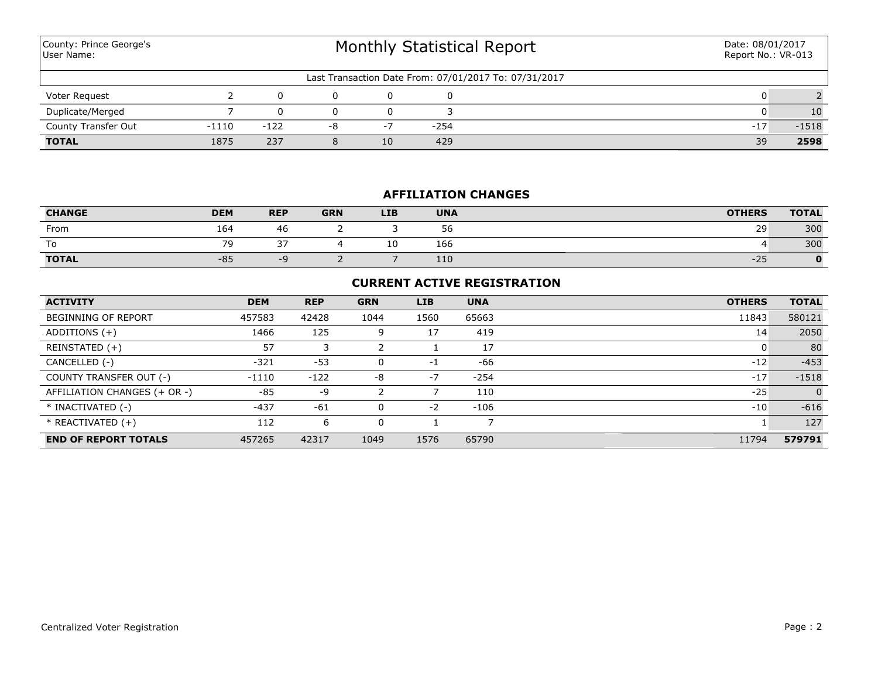| County: Prince George's<br>User Name: | <b>Monthly Statistical Report</b> |              |    |      |        |                                                       |       | Date: 08/01/2017<br>Report No.: VR-013 |
|---------------------------------------|-----------------------------------|--------------|----|------|--------|-------------------------------------------------------|-------|----------------------------------------|
|                                       |                                   |              |    |      |        | Last Transaction Date From: 07/01/2017 To: 07/31/2017 |       |                                        |
| Voter Request                         |                                   | <sup>0</sup> |    | 0    | 0      |                                                       |       |                                        |
| Duplicate/Merged                      |                                   |              |    | 0    |        |                                                       |       | 10                                     |
| County Transfer Out                   | -1110                             | $-122$       | -8 | $-7$ | $-254$ |                                                       | $-17$ | $-1518$                                |
| <b>TOTAL</b>                          | 1875                              | 237          |    | 10   | 429    |                                                       | 39    | 2598                                   |

# **AFFILIATION CHANGES**

| <b>CHANGE</b> | <b>DEM</b>               | <b>REP</b>    | <b>GRN</b> | <b>LIB</b> | <b>UNA</b> | <b>OTHERS</b> | <b>TOTAL</b> |
|---------------|--------------------------|---------------|------------|------------|------------|---------------|--------------|
| From          | 164                      | 46            |            |            | 56         | 29            | 300          |
| To            | $\overline{\phantom{a}}$ | $\sim$ $\sim$ |            | ∸          | 166        |               | 300          |
| <b>TOTAL</b>  | $-85$                    | --            |            |            | 110        | $-25$         |              |

## **CURRENT ACTIVE REGISTRATION**

| <b>ACTIVITY</b>              | <b>DEM</b> | <b>REP</b> | <b>GRN</b> | LIB  | <b>UNA</b> | <b>OTHERS</b> | <b>TOTAL</b>   |
|------------------------------|------------|------------|------------|------|------------|---------------|----------------|
| BEGINNING OF REPORT          | 457583     | 42428      | 1044       | 1560 | 65663      | 11843         | 580121         |
| ADDITIONS $(+)$              | 1466       | 125        | 9          | 17   | 419        | 14            | 2050           |
| REINSTATED (+)               | 57         |            |            |      | 17         |               | 80             |
| CANCELLED (-)                | $-321$     | $-53$      | 0          | $-1$ | -66        | $-12$         | $-453$         |
| COUNTY TRANSFER OUT (-)      | $-1110$    | $-122$     | -8         | $-7$ | $-254$     | $-17$         | $-1518$        |
| AFFILIATION CHANGES (+ OR -) | $-85$      | -9         |            |      | 110        | $-25$         | $\overline{0}$ |
| * INACTIVATED (-)            | $-437$     | $-61$      | $\Omega$   | $-2$ | $-106$     | $-10$         | $-616$         |
| $*$ REACTIVATED $(+)$        | 112        | 6          | 0          |      |            |               | 127            |
| <b>END OF REPORT TOTALS</b>  | 457265     | 42317      | 1049       | 1576 | 65790      | 11794         | 579791         |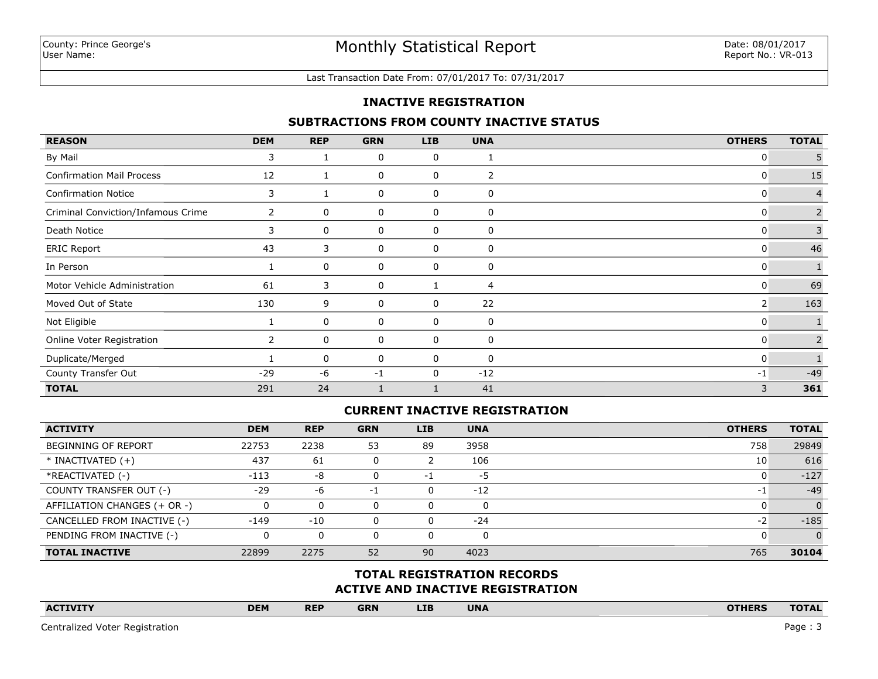#### Last Transaction Date From: 07/01/2017 To: 07/31/2017

### **INACTIVE REGISTRATION**

### **SUBTRACTIONS FROM COUNTY INACTIVE STATUS**

| <b>REASON</b>                      | <b>DEM</b>   | <b>REP</b> | <b>GRN</b>  | <b>LIB</b> | <b>UNA</b> | <b>OTHERS</b>  | <b>TOTAL</b>   |
|------------------------------------|--------------|------------|-------------|------------|------------|----------------|----------------|
| By Mail                            | 3            |            | 0           | 0          |            | 0              | 5              |
| <b>Confirmation Mail Process</b>   | 12           |            | 0           | 0          | 2          | 0              | 15             |
| <b>Confirmation Notice</b>         | 3            |            | 0           | 0          | 0          | 0              | $\overline{4}$ |
| Criminal Conviction/Infamous Crime | $\mathbf{2}$ | 0          | 0           | 0          | 0          | $\mathbf{0}$   | $\overline{2}$ |
| Death Notice                       | 3            | 0          | 0           | 0          | 0          | 0              | 3              |
| <b>ERIC Report</b>                 | 43           | 3          | 0           | 0          | 0          | $\mathbf{0}$   | 46             |
| In Person                          |              | 0          | 0           | 0          | 0          | $\mathbf{0}$   |                |
| Motor Vehicle Administration       | 61           | 3          | 0           |            | 4          | $\mathbf{0}$   | 69             |
| Moved Out of State                 | 130          | 9          | $\mathbf 0$ | 0          | 22         | $\overline{2}$ | 163            |
| Not Eligible                       |              | 0          | 0           | 0          | 0          | 0              |                |
| Online Voter Registration          | $\mathbf{2}$ | 0          | 0           | 0          | 0          | $\mathbf{0}$   | $\overline{2}$ |
| Duplicate/Merged                   |              | 0          | 0           | 0          | 0          | 0              |                |
| County Transfer Out                | $-29$        | -6         | $-1$        | 0          | $-12$      | $-1$           | $-49$          |
| <b>TOTAL</b>                       | 291          | 24         |             |            | 41         | 3              | 361            |

## **CURRENT INACTIVE REGISTRATION**

| <b>ACTIVITY</b>              | <b>DEM</b> | <b>REP</b> | <b>GRN</b> | <b>LIB</b> | <b>UNA</b> | <b>OTHERS</b> | <b>TOTAL</b>   |
|------------------------------|------------|------------|------------|------------|------------|---------------|----------------|
| <b>BEGINNING OF REPORT</b>   | 22753      | 2238       | 53         | 89         | 3958       | 758           | 29849          |
| $*$ INACTIVATED $(+)$        | 437        | 61         |            |            | 106        | 10            | 616            |
| *REACTIVATED (-)             | $-113$     | -8         |            | $-1$       | -5         |               | $-127$         |
| COUNTY TRANSFER OUT (-)      | $-29$      | -6         | нī         |            | $-12$      | -1            | $-49$          |
| AFFILIATION CHANGES (+ OR -) |            | 0          |            |            | 0          |               | $\Omega$       |
| CANCELLED FROM INACTIVE (-)  | $-149$     | -10        |            |            | $-24$      | -2            | $-185$         |
| PENDING FROM INACTIVE (-)    |            | $\Omega$   |            |            | 0          |               | $\overline{0}$ |
| <b>TOTAL INACTIVE</b>        | 22899      | 2275       | 52         | 90         | 4023       | 765           | 30104          |

## **ACTIVE AND INACTIVE REGISTRATION TOTAL REGISTRATION RECORDS**

| <b>ACTIVITY</b> | <b>DEM</b> | <b>REP</b> | <b>GRN</b> | <b>LIB</b> | <b>UNA</b> |  | <b>OTHERS</b> | <b>TOTAL</b> |
|-----------------|------------|------------|------------|------------|------------|--|---------------|--------------|
|                 |            |            |            |            |            |  |               |              |

Centralized Voter Registration Page : 3